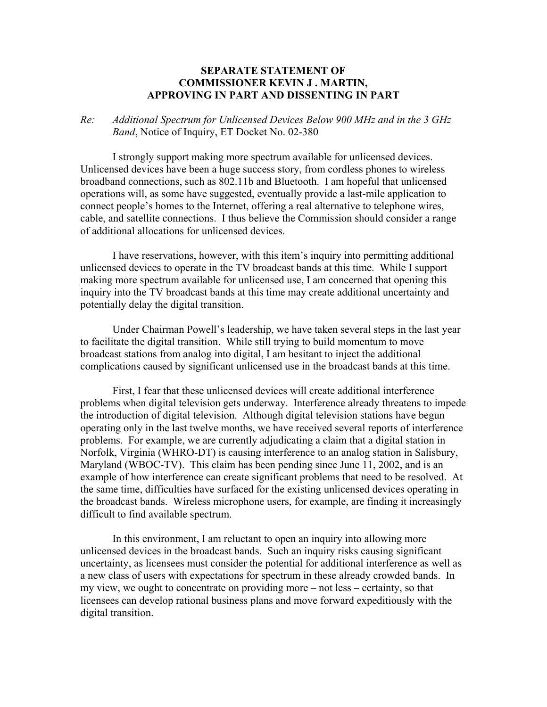## **SEPARATE STATEMENT OF COMMISSIONER KEVIN J . MARTIN, APPROVING IN PART AND DISSENTING IN PART**

## *Re: Additional Spectrum for Unlicensed Devices Below 900 MHz and in the 3 GHz Band*, Notice of Inquiry, ET Docket No. 02-380

 I strongly support making more spectrum available for unlicensed devices. Unlicensed devices have been a huge success story, from cordless phones to wireless broadband connections, such as 802.11b and Bluetooth. I am hopeful that unlicensed operations will, as some have suggested, eventually provide a last-mile application to connect people's homes to the Internet, offering a real alternative to telephone wires, cable, and satellite connections. I thus believe the Commission should consider a range of additional allocations for unlicensed devices.

 I have reservations, however, with this item's inquiry into permitting additional unlicensed devices to operate in the TV broadcast bands at this time. While I support making more spectrum available for unlicensed use, I am concerned that opening this inquiry into the TV broadcast bands at this time may create additional uncertainty and potentially delay the digital transition.

 Under Chairman Powell's leadership, we have taken several steps in the last year to facilitate the digital transition. While still trying to build momentum to move broadcast stations from analog into digital, I am hesitant to inject the additional complications caused by significant unlicensed use in the broadcast bands at this time.

 First, I fear that these unlicensed devices will create additional interference problems when digital television gets underway. Interference already threatens to impede the introduction of digital television. Although digital television stations have begun operating only in the last twelve months, we have received several reports of interference problems. For example, we are currently adjudicating a claim that a digital station in Norfolk, Virginia (WHRO-DT) is causing interference to an analog station in Salisbury, Maryland (WBOC-TV). This claim has been pending since June 11, 2002, and is an example of how interference can create significant problems that need to be resolved. At the same time, difficulties have surfaced for the existing unlicensed devices operating in the broadcast bands. Wireless microphone users, for example, are finding it increasingly difficult to find available spectrum.

 In this environment, I am reluctant to open an inquiry into allowing more unlicensed devices in the broadcast bands. Such an inquiry risks causing significant uncertainty, as licensees must consider the potential for additional interference as well as a new class of users with expectations for spectrum in these already crowded bands. In my view, we ought to concentrate on providing more – not less – certainty, so that licensees can develop rational business plans and move forward expeditiously with the digital transition.